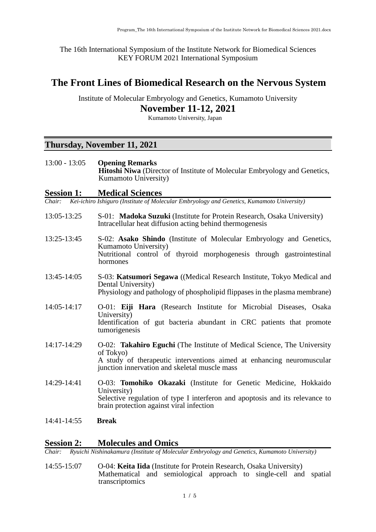The 16th International Symposium of the Institute Network for Biomedical Sciences KEY FORUM 2021 International Symposium

## **The Front Lines of Biomedical Research on the Nervous System**

Institute of Molecular Embryology and Genetics, Kumamoto University

**November 11-12, 2021**

Kumamoto University, Japan

### **Thursday, November 11, 2021**

| $13:00 - 13:05$   | <b>Opening Remarks</b><br><b>Hitoshi Niwa</b> (Director of Institute of Molecular Embryology and Genetics,<br>Kumamoto University)                                                                             |
|-------------------|----------------------------------------------------------------------------------------------------------------------------------------------------------------------------------------------------------------|
| <b>Session 1:</b> | <b>Medical Sciences</b>                                                                                                                                                                                        |
|                   | Chair: Kei-ichiro Ishiguro (Institute of Molecular Embryology and Genetics, Kumamoto University)                                                                                                               |
| 13:05-13:25       | S-01: Madoka Suzuki (Institute for Protein Research, Osaka University)<br>Intracellular heat diffusion acting behind thermogenesis                                                                             |
| 13:25-13:45       | S-02: Asako Shindo (Institute of Molecular Embryology and Genetics,<br>Kumamoto University)<br>Nutritional control of thyroid morphogenesis through gastrointestinal<br>hormones                               |
| 13:45-14:05       | S-03: Katsumori Segawa ((Medical Research Institute, Tokyo Medical and<br>Dental University)<br>Physiology and pathology of phospholipid flippases in the plasma membrane)                                     |
| $14:05 - 14:17$   | O-01: Eiji Hara (Research Institute for Microbial Diseases, Osaka<br>University)<br>Identification of gut bacteria abundant in CRC patients that promote<br>tumorigenesis                                      |
| 14:17-14:29       | O-02: Takahiro Eguchi (The Institute of Medical Science, The University<br>of Tokyo)<br>A study of therapeutic interventions aimed at enhancing neuromuscular<br>junction innervation and skeletal muscle mass |
| 14:29-14:41       | O-03: Tomohiko Okazaki (Institute for Genetic Medicine, Hokkaido<br>University)<br>Selective regulation of type I interferon and apoptosis and its relevance to<br>brain protection against viral infection    |
| 14:41-14:55       | <b>Break</b>                                                                                                                                                                                                   |

# **Session 2: Molecules and Omics**<br> **Chair:** Ryuichi Nishinakamura (Institute of Molecular

*Chair: Ryuichi Nishinakamura (Institute of Molecular Embryology and Genetics, Kumamoto University)*

14:55-15:07 O-04: **Keita Iida** (Institute for Protein Research, Osaka University) Mathematical and semiological approach to single-cell and spatial transcriptomics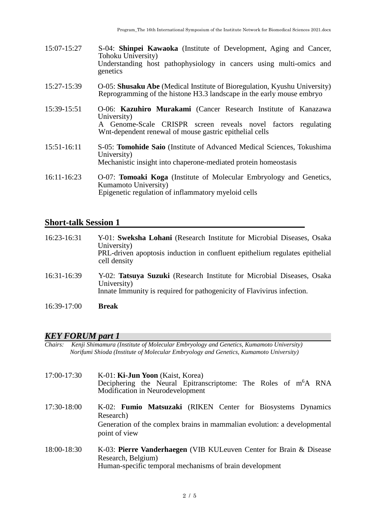- 15:07-15:27 S-04: **Shinpei Kawaoka** (Institute of Development, Aging and Cancer, Tohoku University) Understanding host pathophysiology in cancers using multi-omics and genetics
- 15:27-15:39 O-05: **Shusaku Abe** (Medical Institute of Bioregulation, Kyushu University) Reprogramming of the histone H3.3 landscape in the early mouse embryo
- 15:39-15:51 O-06: **Kazuhiro Murakami** (Cancer Research Institute of Kanazawa University) A Genome-Scale CRISPR screen reveals novel factors regulating Wnt-dependent renewal of mouse gastric epithelial cells
- 15:51-16:11 S-05: **Tomohide Saio** (Institute of Advanced Medical Sciences, Tokushima University) Mechanistic insight into chaperone-mediated protein homeostasis
- 16:11-16:23 O-07: **Tomoaki Koga** (Institute of Molecular Embryology and Genetics, Kumamoto University) Epigenetic regulation of inflammatory myeloid cells

#### **Short-talk Session 1**

| 16:23-16:31 | Y-01: Sweksha Lohani (Research Institute for Microbial Diseases, Osaka<br>University)<br>PRL-driven apoptosis induction in confluent epithelium regulates epithelial<br>cell density |
|-------------|--------------------------------------------------------------------------------------------------------------------------------------------------------------------------------------|
| 16:31-16:39 | Y-02: Tatsuya Suzuki (Research Institute for Microbial Diseases, Osaka<br>University)<br>Innate Immunity is required for pathogenicity of Flavivirus infection.                      |
| 16:39-17:00 | <b>Break</b>                                                                                                                                                                         |

# *KEY FORUM part 1*

*Chairs: Kenji Shimamura (Institute of Molecular Embryology and Genetics, Kumamoto University) Norifumi Shioda (Institute of Molecular Embryology and Genetics, Kumamoto University)* 

- 17:00-17:30 K-01: **Ki-Jun Yoon** (Kaist, Korea) Deciphering the Neural Epitranscriptome: The Roles of m<sup>6</sup>A RNA Modification in Neurodevelopment 17:30-18:00 K-02: **Fumio Matsuzaki** (RIKEN Center for Biosystems Dynamics Research) Generation of the complex brains in mammalian evolution: a developmental point of view 18:00-18:30 K-03: **Pierre Vanderhaegen** (VIB KULeuven Center for Brain & Disease
	- Research, Belgium) Human-specific temporal mechanisms of brain development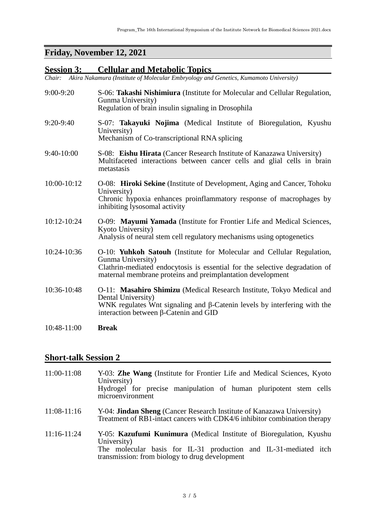# **Friday, November 12, 2021**

# **Session 3: Cellular and Metabolic Topics**

*Chair: Akira Nakamura (Institute of Molecular Embryology and Genetics, Kumamoto University)* 

| $9:00-9:20$ | S-06: Takashi Nishimiura (Institute for Molecular and Cellular Regulation,<br>Gunma University)<br>Regulation of brain insulin signaling in Drosophila                                                                                  |
|-------------|-----------------------------------------------------------------------------------------------------------------------------------------------------------------------------------------------------------------------------------------|
| 9:20-9:40   | S-07: Takayuki Nojima (Medical Institute of Bioregulation, Kyushu<br>University)<br>Mechanism of Co-transcriptional RNA splicing                                                                                                        |
| 9:40-10:00  | S-08: Eishu Hirata (Cancer Research Institute of Kanazawa University)<br>Multifaceted interactions between cancer cells and glial cells in brain<br>metastasis                                                                          |
| 10:00-10:12 | O-08: Hiroki Sekine (Institute of Development, Aging and Cancer, Tohoku<br>University)<br>Chronic hypoxia enhances proinflammatory response of macrophages by<br>inhibiting lysosomal activity                                          |
| 10:12-10:24 | O-09: Mayumi Yamada (Institute for Frontier Life and Medical Sciences,<br>Kyoto University)<br>Analysis of neural stem cell regulatory mechanisms using optogenetics                                                                    |
| 10:24-10:36 | O-10: Yuhkoh Satouh (Institute for Molecular and Cellular Regulation,<br>Gunma University)<br>Clathrin-mediated endocytosis is essential for the selective degradation of<br>maternal membrane proteins and preimplantation development |
| 10:36-10:48 | O-11: Masahiro Shimizu (Medical Research Institute, Tokyo Medical and<br>Dental University)<br>WNK regulates Wnt signaling and $\beta$ -Catenin levels by interfering with the<br>interaction between $\beta$ -Catenin and GID          |
| 10:48-11:00 | <b>Break</b>                                                                                                                                                                                                                            |

## **Short-talk Session 2**

| 11:00-11:08   | Y-03: <b>Zhe Wang</b> (Institute for Frontier Life and Medical Sciences, Kyoto<br>University)<br>Hydrogel for precise manipulation of human pluripotent stem cells<br>microenvironment                          |
|---------------|-----------------------------------------------------------------------------------------------------------------------------------------------------------------------------------------------------------------|
| $11:08-11:16$ | Y-04: <b>Jindan Sheng</b> (Cancer Research Institute of Kanazawa University)<br>Treatment of RB1-intact cancers with CDK4/6 inhibitor combination therapy                                                       |
| $11:16-11:24$ | Y-05: <b>Kazufumi Kunimura</b> (Medical Institute of Bioregulation, Kyushu<br>University)<br>The molecular basis for IL-31 production and IL-31-mediated itch<br>transmission: from biology to drug development |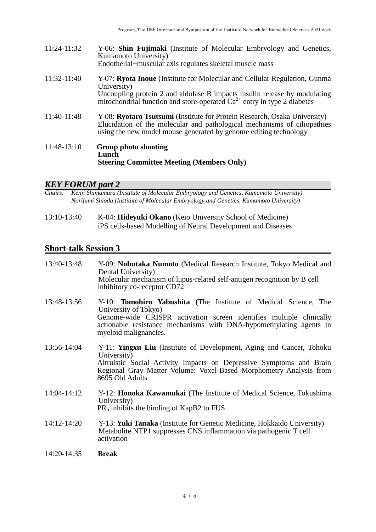11:24-11:32 Y-06: **Shin Fujimaki** (Institute of Molecular Embryology and Genetics, Kumamoto University) Endothelial−muscular axis regulates skeletal muscle mass 11:32-11:40 Y-07: **Ryota Inoue** (Institute for Molecular and Cellular Regulation, Gunma University) Uncoupling protein 2 and aldolase B impacts insulin release by modulating mitochondrial function and store-operated  $Ca^{2+}$  entry in type 2 diabetes 11:40-11:48 Y-08: **Ryotaro Tsutsumi** (Institute for Protein Research, Osaka University) Elucidation of the molecular and pathological mechanisms of ciliopathies using the new model mouse generated by genome editing technology 11:48-13:10 **Group photo shooting Lunch Steering Committee Meeting (Members Only)**

# *KEY FORUM part 2*

*Chairs: Kenji Shimamura (Institute of Molecular Embryology and Genetics, Kumamoto University) Norifumi Shioda (Institute of Molecular Embryology and Genetics, Kumamoto University)* 

13:10-13:40 K-04: **Hideyuki Okano** (Keio University School of Medicine) iPS cells-based Modelling of Neural Development and Diseases

#### **Short-talk Session 3**

| 13:40-13:48   | Y-09: Nobutaka Numoto (Medical Research Institute, Tokyo Medical and<br>Dental University)<br>Molecular mechanism of lupus-related self-antigen recognition by B cell<br>inhibitory co-receptor CD72                                                                  |
|---------------|-----------------------------------------------------------------------------------------------------------------------------------------------------------------------------------------------------------------------------------------------------------------------|
| 13:48-13:56   | Y-10: <b>Tomohiro Yabushita</b> (The Institute of Medical Science, The<br>University of Tokyo)<br>Genome-wide CRISPR activation screen identifies multiple clinically<br>actionable resistance mechanisms with DNA-hypomethylating agents in<br>myeloid malignancies. |
| 13:56-14:04   | Y-11: <b>Yingxu Liu</b> (Institute of Development, Aging and Cancer, Tohoku<br>University)<br>Altruistic Social Activity Impacts on Depressive Symptoms and Brain<br>Regional Gray Matter Volume: Voxel-Based Morphometry Analysis from<br>8695 Old Adults            |
| $14:04-14:12$ | Y-12: Honoka Kawamukai (The Institute of Medical Science, Tokushima<br>University)<br>$PR_n$ inhibits the binding of KapB2 to FUS                                                                                                                                     |
| $14:12-14:20$ | Y-13: Yuki Tanaka (Institute for Genetic Medicine, Hokkaido University)<br>Metabolite NTP1 suppresses CNS inflammation via pathogenic T cell<br>activation                                                                                                            |
|               |                                                                                                                                                                                                                                                                       |

14:20-14:35 **Break**